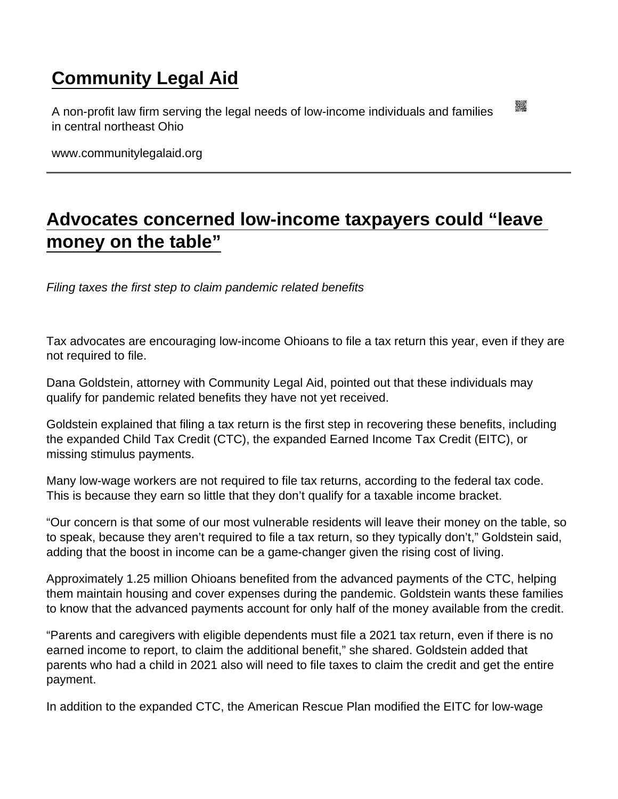## [Community Legal Aid](https://www.communitylegalaid.org/)

A non-profit law firm serving the legal needs of low-income individuals and families in central northeast Ohio

www.communitylegalaid.org

## [Advocates concerned low-income taxpayers could "leave](https://www.communitylegalaid.org/node/1667/advocates-concerned-low-income-taxpayers-could-“leave-money-table”)  [money on the table"](https://www.communitylegalaid.org/node/1667/advocates-concerned-low-income-taxpayers-could-“leave-money-table”)

Filing taxes the first step to claim pandemic related benefits

Tax advocates are encouraging low-income Ohioans to file a tax return this year, even if they are not required to file.

Dana Goldstein, attorney with Community Legal Aid, pointed out that these individuals may qualify for pandemic related benefits they have not yet received.

Goldstein explained that filing a tax return is the first step in recovering these benefits, including the expanded Child Tax Credit (CTC), the expanded Earned Income Tax Credit (EITC), or missing stimulus payments.

Many low-wage workers are not required to file tax returns, according to the federal tax code. This is because they earn so little that they don't qualify for a taxable income bracket.

"Our concern is that some of our most vulnerable residents will leave their money on the table, so to speak, because they aren't required to file a tax return, so they typically don't," Goldstein said, adding that the boost in income can be a game-changer given the rising cost of living.

Approximately 1.25 million Ohioans benefited from the advanced payments of the CTC, helping them maintain housing and cover expenses during the pandemic. Goldstein wants these families to know that the advanced payments account for only half of the money available from the credit.

"Parents and caregivers with eligible dependents must file a 2021 tax return, even if there is no earned income to report, to claim the additional benefit," she shared. Goldstein added that parents who had a child in 2021 also will need to file taxes to claim the credit and get the entire payment.

In addition to the expanded CTC, the American Rescue Plan modified the EITC for low-wage